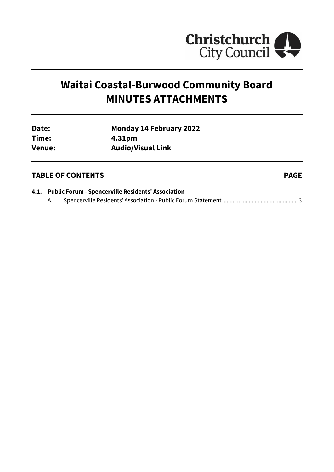

## **Waitai Coastal-Burwood Community Board MINUTES ATTACHMENTS**

| Date:  | <b>Monday 14 February 2022</b> |
|--------|--------------------------------|
| Time:  | 4.31pm                         |
| Venue: | <b>Audio/Visual Link</b>       |
|        |                                |

## **TABLE OF CONTENTS PAGE**

|  | 4.1. Public Forum - Spencerville Residents' Association |  |
|--|---------------------------------------------------------|--|
|  |                                                         |  |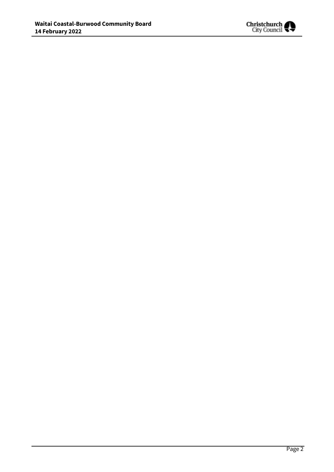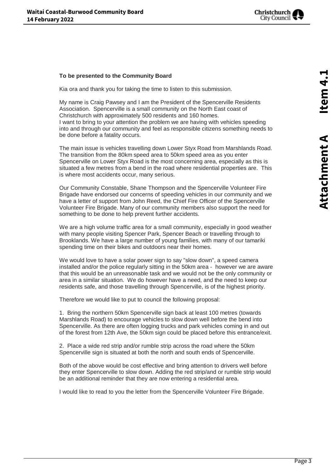## <span id="page-2-0"></span>**To be presented to the Community Board**

Kia ora and thank you for taking the time to listen to this submission.

My name is Craig Pawsey and I am the President of the Spencerville Residents Association. Spencerville is a small community on the North East coast of Christchurch with approximately 500 residents and 160 homes. I want to bring to your attention the problem we are having with vehicles speeding into and through our community and feel as responsible citizens something needs to be done before a fatality occurs.

The main issue is vehicles travelling down Lower Styx Road from Marshlands Road. The transition from the 80km speed area to 50km speed area as you enter Spencerville on Lower Styx Road is the most concerning area, especially as this is situated a few metres from a bend in the road where residential properties are. This is where most accidents occur, many serious.

Our Community Constable, Shane Thompson and the Spencerville Volunteer Fire Brigade have endorsed our concerns of speeding vehicles in our community and we have a letter of support from John Reed, the Chief Fire Officer of the Spencerville Volunteer Fire Brigade. Many of our community members also support the need for something to be done to help prevent further accidents.

We are a high volume traffic area for a small community, especially in good weather with many people visiting Spencer Park, Spencer Beach or travelling through to Brooklands. We have a large number of young families, with many of our tamariki spending time on their bikes and outdoors near their homes.

We would love to have a solar power sign to say "slow down", a speed camera installed and/or the police regularly sitting in the 50km area - however we are aware that this would be an unreasonable task and we would not be the only community or area in a similar situation. We do however have a need, and the need to keep our residents safe, and those travelling through Spencerville, is of the highest priority.

Therefore we would like to put to council the following proposal:

1. Bring the northern 50km Spencerville sign back at least 100 metres (towards Marshlands Road) to encourage vehicles to slow down well before the bend into Spencerville. As there are often logging trucks and park vehicles coming in and out of the forest from 12th Ave, the 50km sign could be placed before this entrance/exit.

2. Place a wide red strip and/or rumble strip across the road where the 50km Spencerville sign is situated at both the north and south ends of Spencerville.

Both of the above would be cost effective and bring attention to drivers well before they enter Spencerville to slow down. Adding the red strip/and or rumble strip would be an additional reminder that they are now entering a residential area.

I would like to read to you the letter from the Spencerville Volunteer Fire Brigade.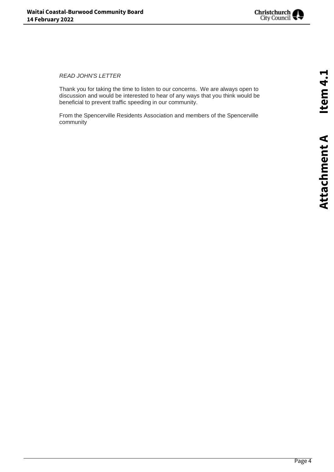*READ JOHN'S LETTER*

Thank you for taking the time to listen to our concerns. We are always open to discussion and would be interested to hear of any ways that you think would be beneficial to prevent traffic speeding in our community.

From the Spencerville Residents Association and members of the Spencerville community